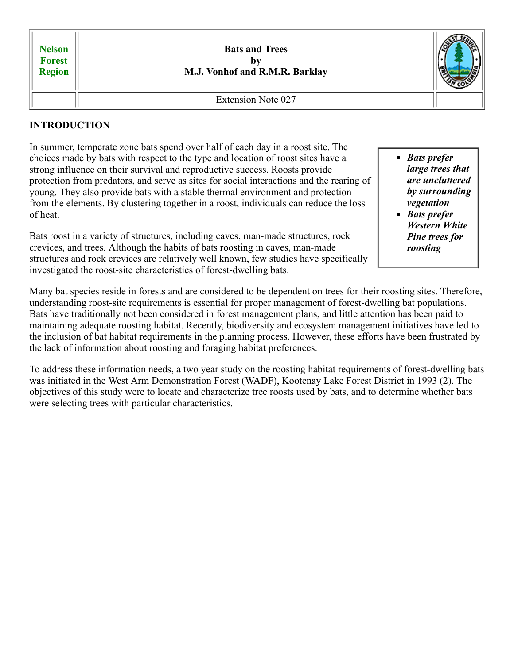| <b>Nelson</b><br><b>Forest</b><br>Region | <b>Bats and Trees</b><br>hv<br>M.J. Vonhof and R.M.R. Barklay |  |
|------------------------------------------|---------------------------------------------------------------|--|
|                                          | <b>Extension Note 027</b>                                     |  |

### **INTRODUCTION**

In summer, temperate zone bats spend over half of each day in a roost site. The choices made by bats with respect to the type and location of roost sites have a strong influence on their survival and reproductive success. Roosts provide protection from predators, and serve as sites for social interactions and the rearing of young. They also provide bats with a stable thermal environment and protection from the elements. By clustering together in a roost, individuals can reduce the loss of heat.

Bats roost in a variety of structures, including caves, man-made structures, rock crevices, and trees. Although the habits of bats roosting in caves, man-made structures and rock crevices are relatively well known, few studies have specifically investigated the roost-site characteristics of forest-dwelling bats.

- *Bats prefer large trees that are uncluttered by surrounding vegetation Bats prefer*
- *Western White Pine trees for roosting*

Many bat species reside in forests and are considered to be dependent on trees for their roosting sites. Therefore, understanding roost-site requirements is essential for proper management of forest-dwelling bat populations. Bats have traditionally not been considered in forest management plans, and little attention has been paid to maintaining adequate roosting habitat. Recently, biodiversity and ecosystem management initiatives have led to the inclusion of bat habitat requirements in the planning process. However, these efforts have been frustrated by the lack of information about roosting and foraging habitat preferences.

To address these information needs, a two year study on the roosting habitat requirements of forest-dwelling bats was initiated in the West Arm Demonstration Forest (WADF), Kootenay Lake Forest District in 1993 (2). The objectives of this study were to locate and characterize tree roosts used by bats, and to determine whether bats were selecting trees with particular characteristics.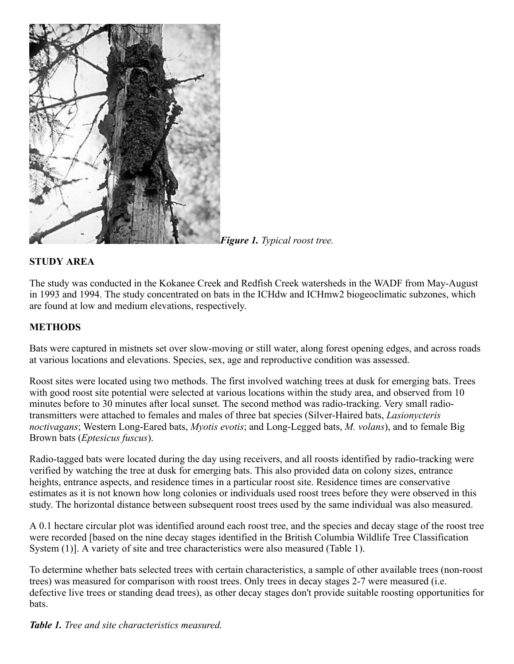

*Figure 1. Typical roost tree.*

## **STUDY AREA**

The study was conducted in the Kokanee Creek and Redfish Creek watersheds in the WADF from May-August in 1993 and 1994. The study concentrated on bats in the ICHdw and ICHmw2 biogeoclimatic subzones, which are found at low and medium elevations, respectively.

### **METHODS**

Bats were captured in mistnets set over slow-moving or still water, along forest opening edges, and across roads at various locations and elevations. Species, sex, age and reproductive condition was assessed.

Roost sites were located using two methods. The first involved watching trees at dusk for emerging bats. Trees with good roost site potential were selected at various locations within the study area, and observed from 10 minutes before to 30 minutes after local sunset. The second method was radio-tracking. Very small radiotransmitters were attached to females and males of three bat species (Silver-Haired bats, *Lasionycteris noctivagans*; Western Long-Eared bats, *Myotis evotis*; and Long-Legged bats, *M. volans*), and to female Big Brown bats (*Eptesicus fuscus*).

Radio-tagged bats were located during the day using receivers, and all roosts identified by radio-tracking were verified by watching the tree at dusk for emerging bats. This also provided data on colony sizes, entrance heights, entrance aspects, and residence times in a particular roost site. Residence times are conservative estimates as it is not known how long colonies or individuals used roost trees before they were observed in this study. The horizontal distance between subsequent roost trees used by the same individual was also measured.

A 0.1 hectare circular plot was identified around each roost tree, and the species and decay stage of the roost tree were recorded [based on the nine decay stages identified in the British Columbia Wildlife Tree Classification System (1)]. A variety of site and tree characteristics were also measured (Table 1).

To determine whether bats selected trees with certain characteristics, a sample of other available trees (non-roost trees) was measured for comparison with roost trees. Only trees in decay stages 2-7 were measured (i.e. defective live trees or standing dead trees), as other decay stages don't provide suitable roosting opportunities for bats.

*Table 1. Tree and site characteristics measured.*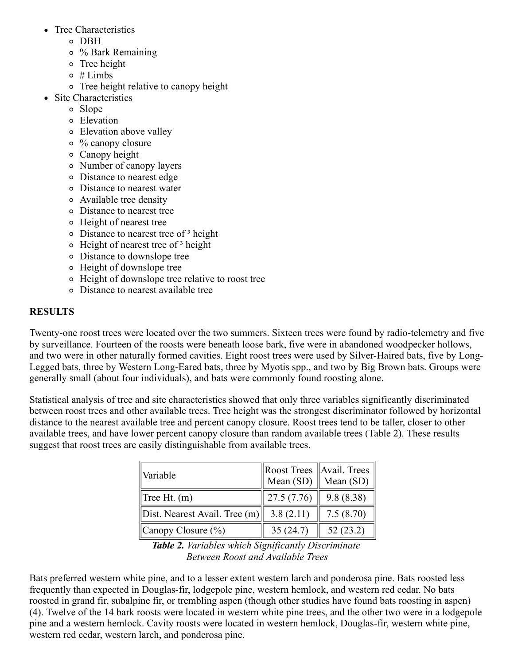- Tree Characteristics
	- DBH
	- % Bark Remaining
	- o Tree height
	- $\circ$  # Limbs
	- Tree height relative to canopy height
- Site Characteristics
	- Slope
	- Elevation
	- Elevation above valley
	- % canopy closure
	- Canopy height
	- Number of canopy layers
	- Distance to nearest edge
	- Distance to nearest water
	- Available tree density
	- Distance to nearest tree
	- Height of nearest tree
	- o Distance to nearest tree of <sup>3</sup> height
	- $\circ$  Height of nearest tree of  $\delta$  height
	- Distance to downslope tree
	- Height of downslope tree
	- Height of downslope tree relative to roost tree
	- Distance to nearest available tree

# **RESULTS**

Twenty-one roost trees were located over the two summers. Sixteen trees were found by radio-telemetry and five by surveillance. Fourteen of the roosts were beneath loose bark, five were in abandoned woodpecker hollows, and two were in other naturally formed cavities. Eight roost trees were used by Silver-Haired bats, five by Long-Legged bats, three by Western Long-Eared bats, three by Myotis spp., and two by Big Brown bats. Groups were generally small (about four individuals), and bats were commonly found roosting alone.

Statistical analysis of tree and site characteristics showed that only three variables significantly discriminated between roost trees and other available trees. Tree height was the strongest discriminator followed by horizontal distance to the nearest available tree and percent canopy closure. Roost trees tend to be taller, closer to other available trees, and have lower percent canopy closure than random available trees (Table 2). These results suggest that roost trees are easily distinguishable from available trees.

| Variable                             | Mean $(SD)$ | $\ $ Roost Trees $\ $ Avail. Trees $\ $<br>$\parallel$ Mean (SD) |
|--------------------------------------|-------------|------------------------------------------------------------------|
| $\text{Tree } Ht. \text{ (m)}$       | 27.5(7.76)  | 9.8(8.38)                                                        |
| $\ $ Dist. Nearest Avail. Tree $(m)$ | 3.8(2.11)   | 7.5(8.70)                                                        |
| Canopy Closure $(\%)$                | 35(24.7)    | 52(23.2)                                                         |

*Table 2. Variables which Significantly Discriminate Between Roost and Available Trees*

Bats preferred western white pine, and to a lesser extent western larch and ponderosa pine. Bats roosted less frequently than expected in Douglas-fir, lodgepole pine, western hemlock, and western red cedar. No bats roosted in grand fir, subalpine fir, or trembling aspen (though other studies have found bats roosting in aspen) (4). Twelve of the 14 bark roosts were located in western white pine trees, and the other two were in a lodgepole pine and a western hemlock. Cavity roosts were located in western hemlock, Douglas-fir, western white pine, western red cedar, western larch, and ponderosa pine.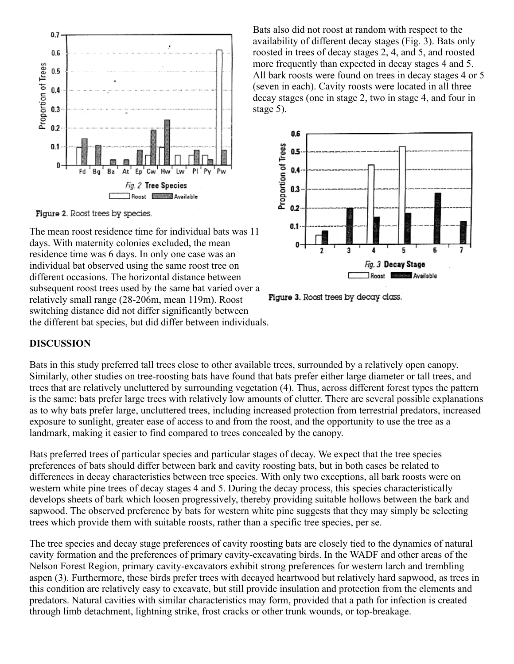

Figure 2. Roost trees by species.

The mean roost residence time for individual bats was 11 days. With maternity colonies excluded, the mean residence time was 6 days. In only one case was an individual bat observed using the same roost tree on different occasions. The horizontal distance between subsequent roost trees used by the same bat varied over a relatively small range (28-206m, mean 119m). Roost switching distance did not differ significantly between the different bat species, but did differ between individuals.

Bats also did not roost at random with respect to the availability of different decay stages (Fig. 3). Bats only roosted in trees of decay stages 2, 4, and 5, and roosted more frequently than expected in decay stages 4 and 5. All bark roosts were found on trees in decay stages 4 or 5 (seven in each). Cavity roosts were located in all three decay stages (one in stage 2, two in stage 4, and four in stage 5).



Figure 3. Roost trees by decay class.

#### **DISCUSSION**

Bats in this study preferred tall trees close to other available trees, surrounded by a relatively open canopy. Similarly, other studies on tree-roosting bats have found that bats prefer either large diameter or tall trees, and trees that are relatively uncluttered by surrounding vegetation (4). Thus, across different forest types the pattern is the same: bats prefer large trees with relatively low amounts of clutter. There are several possible explanations as to why bats prefer large, uncluttered trees, including increased protection from terrestrial predators, increased exposure to sunlight, greater ease of access to and from the roost, and the opportunity to use the tree as a landmark, making it easier to find compared to trees concealed by the canopy.

Bats preferred trees of particular species and particular stages of decay. We expect that the tree species preferences of bats should differ between bark and cavity roosting bats, but in both cases be related to differences in decay characteristics between tree species. With only two exceptions, all bark roosts were on western white pine trees of decay stages 4 and 5. During the decay process, this species characteristically develops sheets of bark which loosen progressively, thereby providing suitable hollows between the bark and sapwood. The observed preference by bats for western white pine suggests that they may simply be selecting trees which provide them with suitable roosts, rather than a specific tree species, per se.

The tree species and decay stage preferences of cavity roosting bats are closely tied to the dynamics of natural cavity formation and the preferences of primary cavity-excavating birds. In the WADF and other areas of the Nelson Forest Region, primary cavity-excavators exhibit strong preferences for western larch and trembling aspen (3). Furthermore, these birds prefer trees with decayed heartwood but relatively hard sapwood, as trees in this condition are relatively easy to excavate, but still provide insulation and protection from the elements and predators. Natural cavities with similar characteristics may form, provided that a path for infection is created through limb detachment, lightning strike, frost cracks or other trunk wounds, or top-breakage.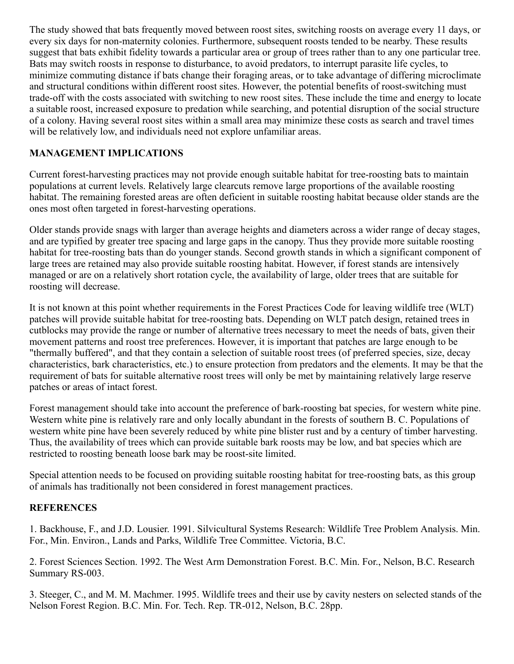The study showed that bats frequently moved between roost sites, switching roosts on average every 11 days, or every six days for non-maternity colonies. Furthermore, subsequent roosts tended to be nearby. These results suggest that bats exhibit fidelity towards a particular area or group of trees rather than to any one particular tree. Bats may switch roosts in response to disturbance, to avoid predators, to interrupt parasite life cycles, to minimize commuting distance if bats change their foraging areas, or to take advantage of differing microclimate and structural conditions within different roost sites. However, the potential benefits of roost-switching must trade-off with the costs associated with switching to new roost sites. These include the time and energy to locate a suitable roost, increased exposure to predation while searching, and potential disruption of the social structure of a colony. Having several roost sites within a small area may minimize these costs as search and travel times will be relatively low, and individuals need not explore unfamiliar areas.

# **MANAGEMENT IMPLICATIONS**

Current forest-harvesting practices may not provide enough suitable habitat for tree-roosting bats to maintain populations at current levels. Relatively large clearcuts remove large proportions of the available roosting habitat. The remaining forested areas are often deficient in suitable roosting habitat because older stands are the ones most often targeted in forest-harvesting operations.

Older stands provide snags with larger than average heights and diameters across a wider range of decay stages, and are typified by greater tree spacing and large gaps in the canopy. Thus they provide more suitable roosting habitat for tree-roosting bats than do younger stands. Second growth stands in which a significant component of large trees are retained may also provide suitable roosting habitat. However, if forest stands are intensively managed or are on a relatively short rotation cycle, the availability of large, older trees that are suitable for roosting will decrease.

It is not known at this point whether requirements in the Forest Practices Code for leaving wildlife tree (WLT) patches will provide suitable habitat for tree-roosting bats. Depending on WLT patch design, retained trees in cutblocks may provide the range or number of alternative trees necessary to meet the needs of bats, given their movement patterns and roost tree preferences. However, it is important that patches are large enough to be "thermally buffered", and that they contain a selection of suitable roost trees (of preferred species, size, decay characteristics, bark characteristics, etc.) to ensure protection from predators and the elements. It may be that the requirement of bats for suitable alternative roost trees will only be met by maintaining relatively large reserve patches or areas of intact forest.

Forest management should take into account the preference of bark-roosting bat species, for western white pine. Western white pine is relatively rare and only locally abundant in the forests of southern B. C. Populations of western white pine have been severely reduced by white pine blister rust and by a century of timber harvesting. Thus, the availability of trees which can provide suitable bark roosts may be low, and bat species which are restricted to roosting beneath loose bark may be roost-site limited.

Special attention needs to be focused on providing suitable roosting habitat for tree-roosting bats, as this group of animals has traditionally not been considered in forest management practices.

# **REFERENCES**

1. Backhouse, F., and J.D. Lousier. 1991. Silvicultural Systems Research: Wildlife Tree Problem Analysis. Min. For., Min. Environ., Lands and Parks, Wildlife Tree Committee. Victoria, B.C.

2. Forest Sciences Section. 1992. The West Arm Demonstration Forest. B.C. Min. For., Nelson, B.C. Research Summary RS-003.

3. Steeger, C., and M. M. Machmer. 1995. Wildlife trees and their use by cavity nesters on selected stands of the Nelson Forest Region. B.C. Min. For. Tech. Rep. TR-012, Nelson, B.C. 28pp.